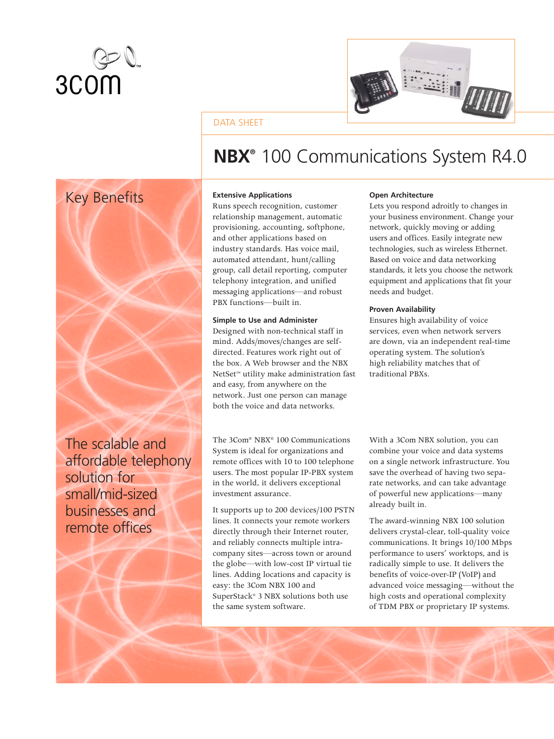



# DATA SHEET



The scalable and affordable telephony solution for small/mid-sized businesses and remote offices

# **NBX®** 100 Communications System R4.0

# **Extensive Applications**

Runs speech recognition, customer relationship management, automatic provisioning, accounting, softphone, and other applications based on industry standards. Has voice mail, automated attendant, hunt/calling group, call detail reporting, computer telephony integration, and unified messaging applications—and robust PBX functions—built in.

# **Simple to Use and Administer**

Designed with non-technical staff in mind. Adds/moves/changes are selfdirected. Features work right out of the box. A Web browser and the NBX NetSet™ utility make administration fast and easy, from anywhere on the network. Just one person can manage both the voice and data networks.

The 3Com® NBX® 100 Communications System is ideal for organizations and remote offices with 10 to 100 telephone users. The most popular IP-PBX system in the world, it delivers exceptional investment assurance.

It supports up to 200 devices/100 PSTN lines. It connects your remote workers directly through their Internet router, and reliably connects multiple intracompany sites—across town or around the globe—with low-cost IP virtual tie lines. Adding locations and capacity is easy: the 3Com NBX 100 and SuperStack® 3 NBX solutions both use the same system software.

# **Open Architecture**

Lets you respond adroitly to changes in your business environment. Change your network, quickly moving or adding users and offices. Easily integrate new technologies, such as wireless Ethernet. Based on voice and data networking standards, it lets you choose the network equipment and applications that fit your needs and budget.

# **Proven Availability**

Ensures high availability of voice services, even when network servers are down, via an independent real-time operating system. The solution's high reliability matches that of traditional PBXs.

With a 3Com NBX solution, you can combine your voice and data systems on a single network infrastructure. You save the overhead of having two separate networks, and can take advantage of powerful new applications—many already built in.

The award-winning NBX 100 solution delivers crystal-clear, toll-quality voice communications. It brings 10/100 Mbps performance to users' worktops, and is radically simple to use. It delivers the benefits of voice-over-IP (VoIP) and advanced voice messaging—without the high costs and operational complexity of TDM PBX or proprietary IP systems.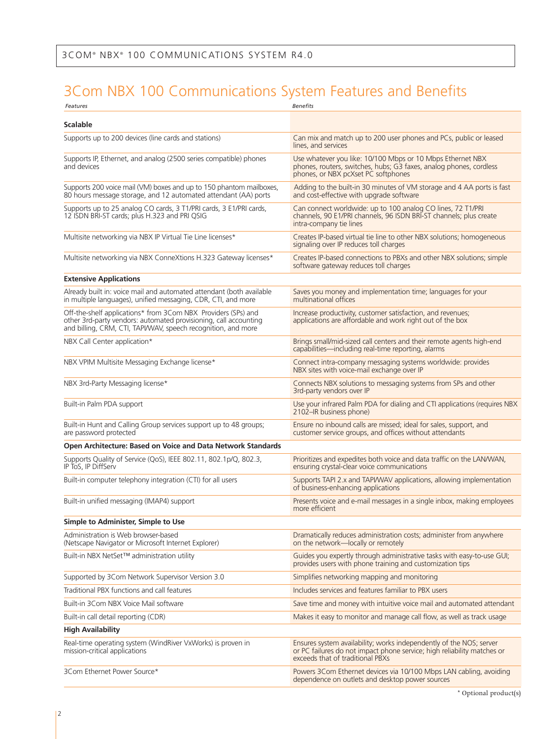# 3Com NBX 100 Communications System Features and Benefits

| Features                                                                                                                                                                                           | <b>Benefits</b>                                                                                                                                                                    |
|----------------------------------------------------------------------------------------------------------------------------------------------------------------------------------------------------|------------------------------------------------------------------------------------------------------------------------------------------------------------------------------------|
| <b>Scalable</b>                                                                                                                                                                                    |                                                                                                                                                                                    |
| Supports up to 200 devices (line cards and stations)                                                                                                                                               | Can mix and match up to 200 user phones and PCs, public or leased<br>lines, and services                                                                                           |
| Supports IP, Ethernet, and analog (2500 series compatible) phones<br>and devices                                                                                                                   | Use whatever you like: 10/100 Mbps or 10 Mbps Ethernet NBX<br>phones, routers, switches, hubs; G3 faxes, analog phones, cordless<br>phones, or NBX pcXset PC softphones            |
| Supports 200 voice mail (VM) boxes and up to 150 phantom mailboxes,<br>80 hours message storage, and 12 automated attendant (AA) ports                                                             | Adding to the built-in 30 minutes of VM storage and 4 AA ports is fast<br>and cost-effective with upgrade software                                                                 |
| Supports up to 25 analog CO cards, 3 T1/PRI cards, 3 E1/PRI cards,<br>12 ISDN BRI-ST cards; plus H.323 and PRI QSIG                                                                                | Can connect worldwide: up to 100 analog CO lines, 72 T1/PRI<br>channels, 90 E1/PRI channels, 96 ISDN BRI-ST channels; plus create<br>intra-company tie lines                       |
| Multisite networking via NBX IP Virtual Tie Line licenses*                                                                                                                                         | Creates IP-based virtual tie line to other NBX solutions; homogeneous<br>signaling over IP reduces toll charges                                                                    |
| Multisite networking via NBX ConneXtions H.323 Gateway licenses*                                                                                                                                   | Creates IP-based connections to PBXs and other NBX solutions; simple<br>software gateway reduces toll charges                                                                      |
| <b>Extensive Applications</b>                                                                                                                                                                      |                                                                                                                                                                                    |
| Already built in: voice mail and automated attendant (both available<br>in multiple languages), unified messaging, CDR, CTI, and more                                                              | Saves you money and implementation time; languages for your<br>multinational offices                                                                                               |
| Off-the-shelf applications* from 3Com NBX Providers (SPs) and<br>other 3rd-party vendors: automated provisioning, call accounting<br>and billing, CRM, CTI, TAPI/WAV, speech recognition, and more | Increase productivity, customer satisfaction, and revenues;<br>applications are affordable and work right out of the box                                                           |
| NBX Call Center application*                                                                                                                                                                       | Brings small/mid-sized call centers and their remote agents high-end<br>capabilities—including real-time reporting, alarms                                                         |
| NBX VPIM Multisite Messaging Exchange license*                                                                                                                                                     | Connect intra-company messaging systems worldwide: provides<br>NBX sites with voice-mail exchange over IP                                                                          |
| NBX 3rd-Party Messaging license*                                                                                                                                                                   | Connects NBX solutions to messaging systems from SPs and other<br>3rd-party vendors over IP                                                                                        |
| Built-in Palm PDA support                                                                                                                                                                          | Use your infrared Palm PDA for dialing and CTI applications (requires NBX<br>2102-IR business phone)                                                                               |
| Built-in Hunt and Calling Group services support up to 48 groups;<br>are password protected                                                                                                        | Ensure no inbound calls are missed; ideal for sales, support, and<br>customer service groups, and offices without attendants                                                       |
| Open Architecture: Based on Voice and Data Network Standards                                                                                                                                       |                                                                                                                                                                                    |
| Supports Quality of Service (QoS), IEEE 802.11, 802.1p/Q, 802.3,<br>IP ToS, IP DiffServ                                                                                                            | Prioritizes and expedites both voice and data traffic on the LAN/WAN,<br>ensuring crystal-clear voice communications                                                               |
| Built-in computer telephony integration (CTI) for all users                                                                                                                                        | Supports TAPI 2.x and TAPI/WAV applications, allowing implementation<br>of business-enhancing applications                                                                         |
| Built-in unified messaging (IMAP4) support                                                                                                                                                         | Presents voice and e-mail messages in a single inbox, making employees<br>more efficient                                                                                           |
| Simple to Administer, Simple to Use                                                                                                                                                                |                                                                                                                                                                                    |
| Administration is Web browser-based<br>(Netscape Navigator or Microsoft Internet Explorer)                                                                                                         | Dramatically reduces administration costs; administer from anywhere<br>on the network—locally or remotely                                                                          |
| Built-in NBX NetSet™ administration utility                                                                                                                                                        | Guides you expertly through administrative tasks with easy-to-use GUI;<br>provides users with phone training and customization tips                                                |
| Supported by 3Com Network Supervisor Version 3.0                                                                                                                                                   | Simplifies networking mapping and monitoring                                                                                                                                       |
| Traditional PBX functions and call features                                                                                                                                                        | Includes services and features familiar to PBX users                                                                                                                               |
| Built-in 3Com NBX Voice Mail software                                                                                                                                                              | Save time and money with intuitive voice mail and automated attendant                                                                                                              |
| Built-in call detail reporting (CDR)                                                                                                                                                               | Makes it easy to monitor and manage call flow, as well as track usage                                                                                                              |
| <b>High Availability</b>                                                                                                                                                                           |                                                                                                                                                                                    |
| Real-time operating system (WindRiver VxWorks) is proven in<br>mission-critical applications                                                                                                       | Ensures system availability; works independently of the NOS; server<br>or PC failures do not impact phone service; high reliability matches or<br>exceeds that of traditional PBXs |
| 3Com Ethernet Power Source*                                                                                                                                                                        | Powers 3Com Ethernet devices via 10/100 Mbps LAN cabling, avoiding<br>dependence on outlets and desktop power sources                                                              |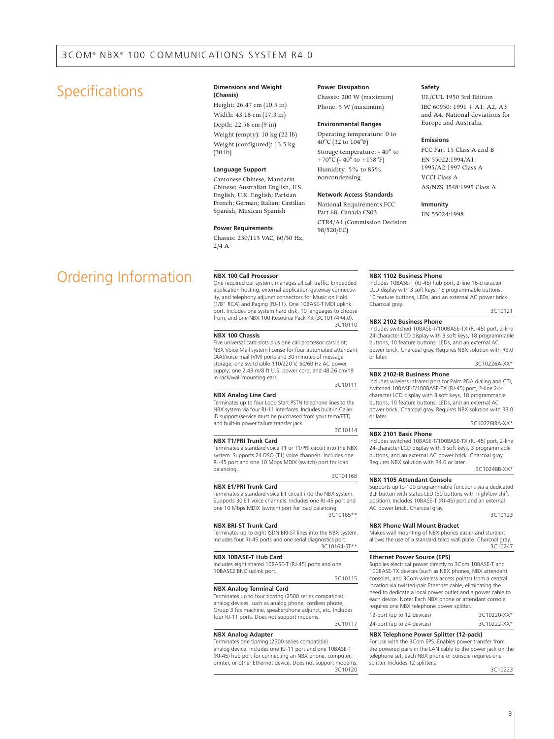# Specifications **Dimensions** and Weight

# **(Chassis)**

Height: 26.47 cm (10.5 in) Width: 43.18 cm (17.3 in) Depth: 22.56 cm (9 in) Weight (empty): 10 kg (22 lb) Weight (configured): 13.5 kg  $(30$  lb)

#### **Language Support**

Cantonese Chinese, Mandarin Chinese; Australian English, U.S. English, U.K. English; Parisian French; German; Italian; Castilian Spanish, Mexican Spanish

#### **Power Requirements**

Chassis: 230/115 VAC, 60/50 Hz,  $2/4A$ 

### **Power Dissipation**

Chassis: 200 W (maximum) Phone: 5 W (maximum)

#### **Environmental Ranges**

Operating temperature: 0 to 40°C (32 to 104°F) Storage temperature: - 40° to +70 $\rm^{\circ}$ C (-40 $\rm^{\circ}$  to +158 $\rm^{\circ}$ F) Humidity: 5% to 85% noncondensing

## **Network Access Standards**

National Requirements FCC Part 68, Canada CS03 CTR4/A1 (Commission Decision 98/520/EC)

#### **Safety**

UL/CUL 1950 3rd Edition IEC 60950: 1991 + A1, A2, A3 and A4. National deviations for Europe and Australia.

## **Emissions**

FCC Part 15 Class A and B EN 55022:1994/A1: 1995/A2:1997 Class A VCCI Class A AS/NZS 3548:1995 Class A

### **Immunity**

EN 55024:1998

# Ordering Information **NBX 100 Call Processor**

One required per system; manages all call traffic. Embedded application hosting, external application gateway connectivity, and telephony adjunct connectors for Music on Hold (1/8" RCA) and Paging (RJ-11). One 10BASE-T MDI uplink port. Includes one system hard disk, 10 languages to choose from, and one NBX 100 Resource Pack Kit (3C10174R4.0). 3C10110

#### **NBX 100 Chassis**

Five universal card slots plus one call processor card slot; NBX Voice Mail system license for four automated attendant (AA)/voice mail (VM) ports and 30 minutes of message storage; one switchable 110/220 V, 50/60 Hz AC power supply; one 2.43 m/8 ft U.S. power cord; and 48.26 cm/19 in rack/wall mounting ears. 3C10111

### **NBX Analog Line Card**

Terminates up to four Loop Start PSTN telephone lines to the NBX system via four RJ-11 interfaces. Includes built-in Caller ID support (service must be purchased from your telco/PTT) and built-in power failure transfer jack.

#### **NBX T1/PRI Trunk Card**

Terminates a standard voice T1 or T1/PRI circuit into the NBX system. Supports 24 DSO (T1) voice channels. Includes one RJ-45 port and one 10 Mbps MDIX (switch) port for load balancing.

# **NBX E1/PRI Trunk Card**

Terminates a standard voice E1 circuit into the NBX system. Supports 30 E1 voice channels. Includes one RJ-45 port and one 10 Mbps MDIX (switch) port for load balancing. 3C10165\*\*

#### **NBX BRI-ST Trunk Card**

Terminates up to eight ISDN BRI-ST lines into the NBX system. Includes four RJ-45 ports and one serial diagnostics port. 3C10164-ST\*\*

#### **NBX 10BASE-T Hub Card**

Includes eight shared 10BASE-T (RJ-45) ports and one 10BASE2 BNC uplink port.

3C10115

3C10114

3C10116B

### **NBX Analog Terminal Card**

Terminates up to four tip/ring (2500 series compatible) analog devices, such as analog phone, cordless phone, Group 3 fax machine, speakerphone adjunct, etc. Includes four RJ-11 ports. Does not support modems. 3C10117

#### **NBX Analog Adapter** Terminates one tip/ring (2500 series compatible)

analog device. Includes one RJ-11 port and one 10BASE-T (RJ-45) hub port for connecting an NBX phone, computer, printer, or other Ethernet device. Does not support modems. 3C10120

#### **NBX 1102 Business Phone**

Includes 10BASE-T (RJ-45) hub port, 2-line 16-character LCD display with 3 soft keys, 18 programmable buttons, 10 feature buttons, LEDs, and an external AC power brick. Charcoal gray.

3C10121

# **NBX 2102 Business Phone**

Includes switched 10BASE-T/100BASE-TX (RJ-45) port, 2-line 24-character LCD display with 3 soft keys, 18 programmable buttons, 10 feature buttons, LEDs, and an external AC power brick. Charcoal gray. Requires NBX solution with R3.0 or later.

3C10226A-XX\*

#### **NBX 2102-IR Business Phone**

Includes wireless infrared port for Palm PDA dialing and CTI, switched 10BASE-T/100BASE-TX (RJ-45) port, 2-line 24 character LCD display with 3 soft keys, 18 programmable buttons, 10 feature buttons, LEDs, and an external AC power brick. Charcoal gray. Requires NBX solution with R3.0 or later.

3C10228IRA-XX\*

#### **NBX 2101 Basic Phone**

Includes switched 10BASE-T/100BASE-TX (RJ-45) port, 2-line 24-character LCD display with 3 soft keys, 3 programmable buttons, and an external AC power brick. Charcoal gray. Requires NBX solution with R4.0 or later.

3C10248B-XX\*

#### **NBX 1105 Attendant Console**

Supports up to 100 programmable functions via a dedicated BLF button with status LED (50 buttons with high/low shift position). Includes 10BASE-T (RJ-45) port and an external AC power brick. Charcoal gray.

3C10123

## **NBX Phone Wall Mount Bracket**

Makes wall mounting of NBX phones easier and sturdier; allows the use of a standard telco wall plate. Charcoal gray. 3C10247

#### **Ethernet Power Source (EPS)**

Supplies electrical power directly to 3Com 10BASE-T and 100BASE-TX devices (such as NBX phones, NBX attendant consoles, and 3Com wireless access points) from a central location via twisted-pair Ethernet cable, eliminating the need to dedicate a local power outlet and a power cable to each device. Note: Each NBX phone or attendant console requires one NBX telephone power splitter.

| 12-port (up to 12 devices) | 3C10220-XX* |
|----------------------------|-------------|
| 24-port (up to 24 devices) | 3C10222-XX* |

# **NBX Telephone Power Splitter (12-pack)**

For use with the 3Com EPS. Enables power transfer from the powered pairs in the LAN cable to the power jack on the telephone set; each NBX phone or console requires one splitter. Includes 12 splitters.

3C10223